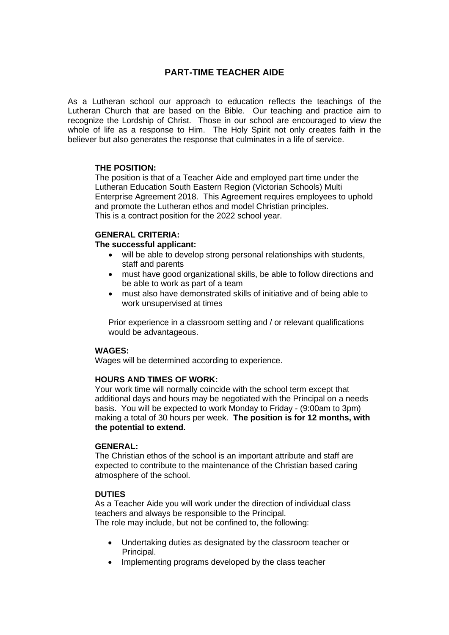# **PART-TIME TEACHER AIDE**

As a Lutheran school our approach to education reflects the teachings of the Lutheran Church that are based on the Bible. Our teaching and practice aim to recognize the Lordship of Christ. Those in our school are encouraged to view the whole of life as a response to Him. The Holy Spirit not only creates faith in the believer but also generates the response that culminates in a life of service.

## **THE POSITION:**

The position is that of a Teacher Aide and employed part time under the Lutheran Education South Eastern Region (Victorian Schools) Multi Enterprise Agreement 2018. This Agreement requires employees to uphold and promote the Lutheran ethos and model Christian principles. This is a contract position for the 2022 school year.

#### **GENERAL CRITERIA:**

#### **The successful applicant:**

- will be able to develop strong personal relationships with students, staff and parents
- must have good organizational skills, be able to follow directions and be able to work as part of a team
- must also have demonstrated skills of initiative and of being able to work unsupervised at times

Prior experience in a classroom setting and / or relevant qualifications would be advantageous.

# **WAGES:**

Wages will be determined according to experience.

#### **HOURS AND TIMES OF WORK:**

Your work time will normally coincide with the school term except that additional days and hours may be negotiated with the Principal on a needs basis. You will be expected to work Monday to Friday - (9:00am to 3pm) making a total of 30 hours per week. **The position is for 12 months, with the potential to extend.**

#### **GENERAL:**

The Christian ethos of the school is an important attribute and staff are expected to contribute to the maintenance of the Christian based caring atmosphere of the school.

# **DUTIES**

As a Teacher Aide you will work under the direction of individual class teachers and always be responsible to the Principal. The role may include, but not be confined to, the following:

- Undertaking duties as designated by the classroom teacher or Principal.
- Implementing programs developed by the class teacher